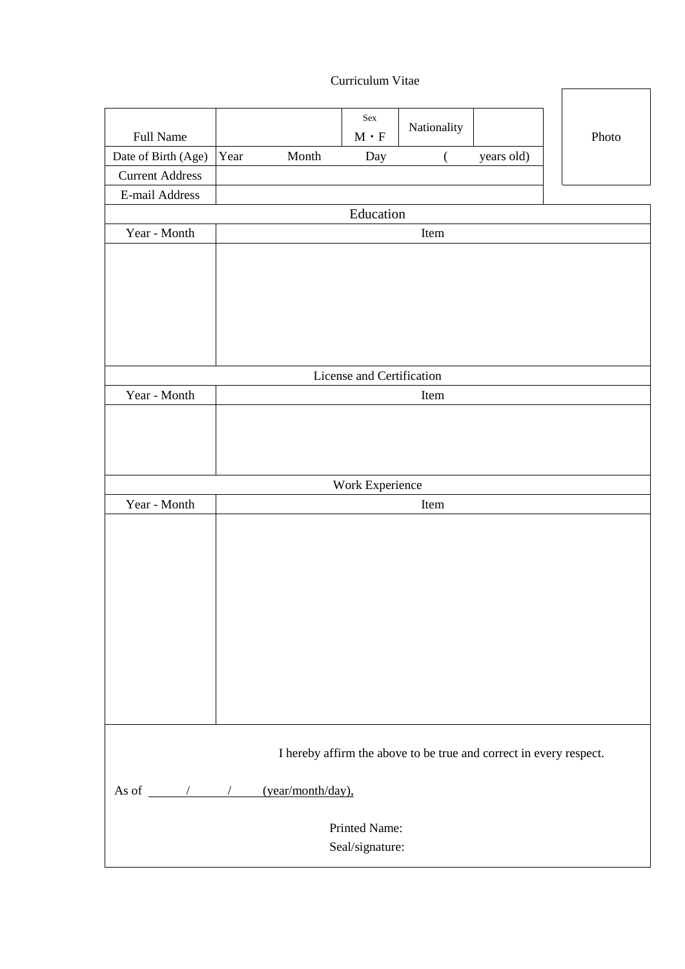Curriculum Vitae

|                                                                    |      |                   | Sex                                   |             |            |       |
|--------------------------------------------------------------------|------|-------------------|---------------------------------------|-------------|------------|-------|
| Full Name                                                          |      |                   | $\mathbf{M}\mathbf{\cdot }\mathbf{F}$ | Nationality |            | Photo |
| Date of Birth (Age)                                                | Year | Month             | Day                                   | (           | years old) |       |
| <b>Current Address</b>                                             |      |                   |                                       |             |            |       |
| E-mail Address                                                     |      |                   |                                       |             |            |       |
|                                                                    |      |                   | Education                             |             |            |       |
| Year - Month                                                       |      |                   |                                       | Item        |            |       |
|                                                                    |      |                   |                                       |             |            |       |
|                                                                    |      |                   |                                       |             |            |       |
|                                                                    |      |                   |                                       |             |            |       |
|                                                                    |      |                   |                                       |             |            |       |
|                                                                    |      |                   |                                       |             |            |       |
|                                                                    |      |                   |                                       |             |            |       |
|                                                                    |      |                   | License and Certification             |             |            |       |
| Year - Month                                                       |      |                   |                                       | Item        |            |       |
|                                                                    |      |                   |                                       |             |            |       |
|                                                                    |      |                   |                                       |             |            |       |
|                                                                    |      |                   |                                       |             |            |       |
|                                                                    |      |                   |                                       |             |            |       |
|                                                                    |      |                   | Work Experience                       |             |            |       |
| Year - Month                                                       |      |                   |                                       | Item        |            |       |
|                                                                    |      |                   |                                       |             |            |       |
|                                                                    |      |                   |                                       |             |            |       |
|                                                                    |      |                   |                                       |             |            |       |
|                                                                    |      |                   |                                       |             |            |       |
|                                                                    |      |                   |                                       |             |            |       |
|                                                                    |      |                   |                                       |             |            |       |
|                                                                    |      |                   |                                       |             |            |       |
|                                                                    |      |                   |                                       |             |            |       |
|                                                                    |      |                   |                                       |             |            |       |
|                                                                    |      |                   |                                       |             |            |       |
|                                                                    |      |                   |                                       |             |            |       |
|                                                                    |      |                   |                                       |             |            |       |
| I hereby affirm the above to be true and correct in every respect. |      |                   |                                       |             |            |       |
| As of $\frac{\sqrt{2}}{2}$                                         |      | (year/month/day), |                                       |             |            |       |
|                                                                    |      |                   | Printed Name:                         |             |            |       |
|                                                                    |      |                   | Seal/signature:                       |             |            |       |
|                                                                    |      |                   |                                       |             |            |       |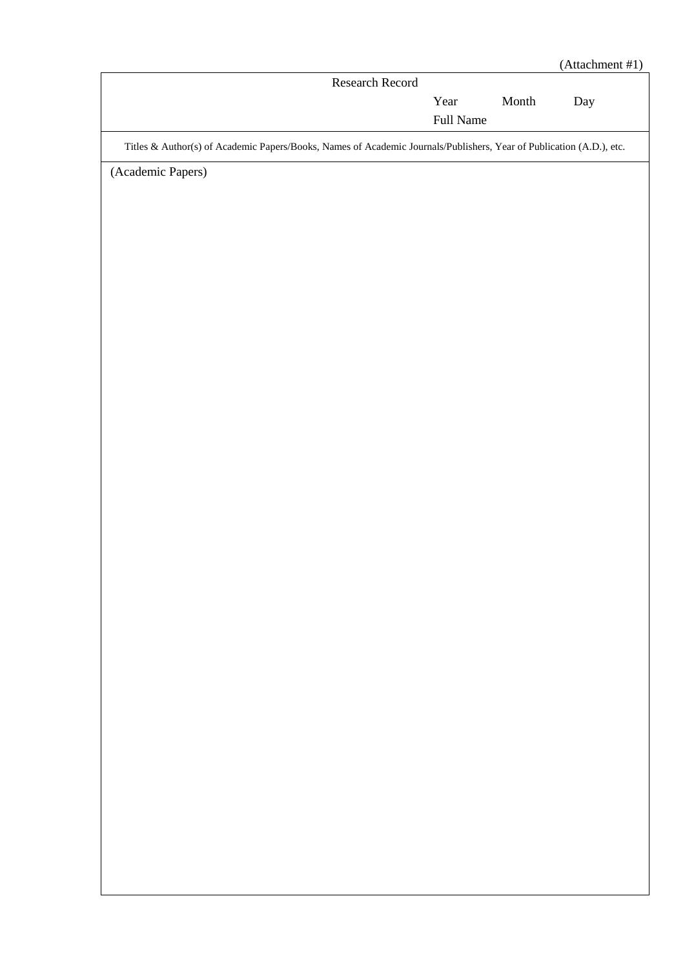| Research Record<br>$\mathop{\mathsf{Month}}$<br>Year<br>Day<br>Full Name<br>Titles & Author(s) of Academic Papers/Books, Names of Academic Journals/Publishers, Year of Publication (A.D.), etc.<br>(Academic Papers) |  | (Attachment #1) |
|-----------------------------------------------------------------------------------------------------------------------------------------------------------------------------------------------------------------------|--|-----------------|
|                                                                                                                                                                                                                       |  |                 |
|                                                                                                                                                                                                                       |  |                 |
|                                                                                                                                                                                                                       |  |                 |
|                                                                                                                                                                                                                       |  |                 |
|                                                                                                                                                                                                                       |  |                 |
|                                                                                                                                                                                                                       |  |                 |
|                                                                                                                                                                                                                       |  |                 |
|                                                                                                                                                                                                                       |  |                 |
|                                                                                                                                                                                                                       |  |                 |
|                                                                                                                                                                                                                       |  |                 |
|                                                                                                                                                                                                                       |  |                 |
|                                                                                                                                                                                                                       |  |                 |
|                                                                                                                                                                                                                       |  |                 |
|                                                                                                                                                                                                                       |  |                 |
|                                                                                                                                                                                                                       |  |                 |
|                                                                                                                                                                                                                       |  |                 |
|                                                                                                                                                                                                                       |  |                 |
|                                                                                                                                                                                                                       |  |                 |
|                                                                                                                                                                                                                       |  |                 |
|                                                                                                                                                                                                                       |  |                 |
|                                                                                                                                                                                                                       |  |                 |
|                                                                                                                                                                                                                       |  |                 |
|                                                                                                                                                                                                                       |  |                 |
|                                                                                                                                                                                                                       |  |                 |
|                                                                                                                                                                                                                       |  |                 |
|                                                                                                                                                                                                                       |  |                 |
|                                                                                                                                                                                                                       |  |                 |
|                                                                                                                                                                                                                       |  |                 |
|                                                                                                                                                                                                                       |  |                 |
|                                                                                                                                                                                                                       |  |                 |
|                                                                                                                                                                                                                       |  |                 |
|                                                                                                                                                                                                                       |  |                 |
|                                                                                                                                                                                                                       |  |                 |
|                                                                                                                                                                                                                       |  |                 |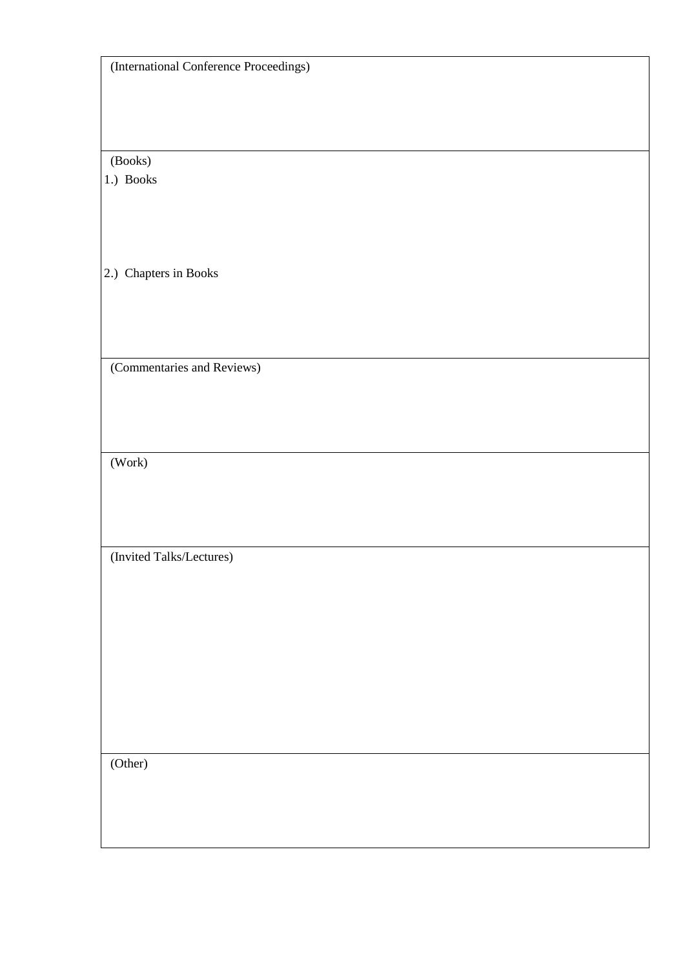(International Conference Proceedings)

(Books)

1.) Books

2.) Chapters in Books

(Commentaries and Reviews)

(Work)

(Invited Talks/Lectures)

(Other)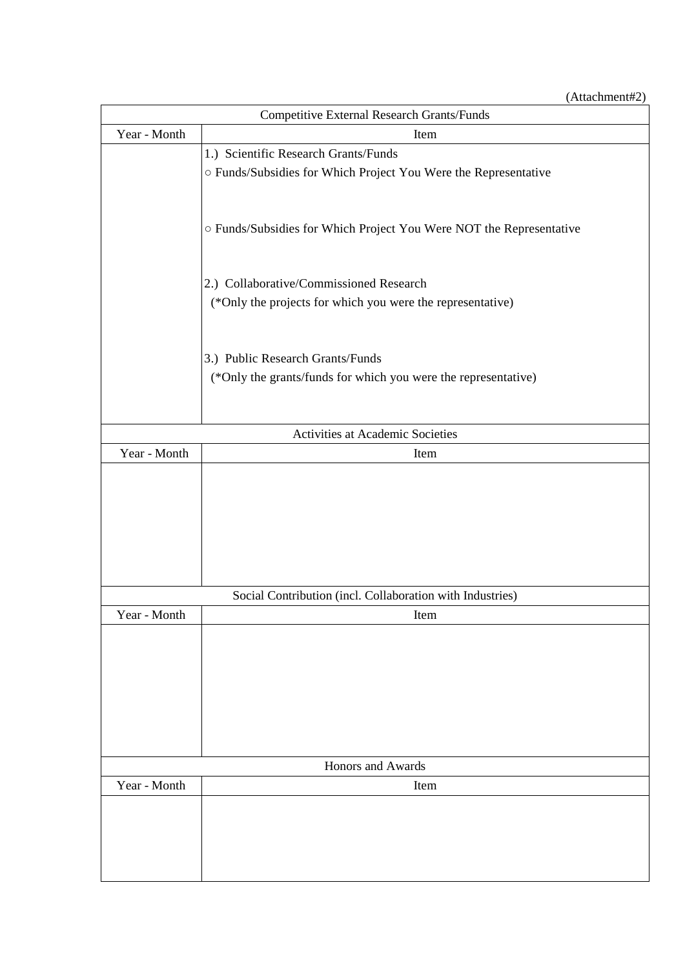(Attachment#2)

| <b>Competitive External Research Grants/Funds</b> |                                                                     |  |  |  |  |
|---------------------------------------------------|---------------------------------------------------------------------|--|--|--|--|
| Year - Month                                      | Item                                                                |  |  |  |  |
|                                                   | 1.) Scientific Research Grants/Funds                                |  |  |  |  |
|                                                   | o Funds/Subsidies for Which Project You Were the Representative     |  |  |  |  |
|                                                   |                                                                     |  |  |  |  |
|                                                   |                                                                     |  |  |  |  |
|                                                   | O Funds/Subsidies for Which Project You Were NOT the Representative |  |  |  |  |
|                                                   |                                                                     |  |  |  |  |
|                                                   |                                                                     |  |  |  |  |
|                                                   | 2.) Collaborative/Commissioned Research                             |  |  |  |  |
|                                                   | (*Only the projects for which you were the representative)          |  |  |  |  |
|                                                   |                                                                     |  |  |  |  |
|                                                   |                                                                     |  |  |  |  |
|                                                   | 3.) Public Research Grants/Funds                                    |  |  |  |  |
|                                                   | (*Only the grants/funds for which you were the representative)      |  |  |  |  |
|                                                   |                                                                     |  |  |  |  |
|                                                   | Activities at Academic Societies                                    |  |  |  |  |
| Year - Month                                      | Item                                                                |  |  |  |  |
|                                                   |                                                                     |  |  |  |  |
|                                                   |                                                                     |  |  |  |  |
|                                                   |                                                                     |  |  |  |  |
|                                                   |                                                                     |  |  |  |  |
|                                                   |                                                                     |  |  |  |  |
|                                                   |                                                                     |  |  |  |  |
|                                                   |                                                                     |  |  |  |  |
|                                                   | Social Contribution (incl. Collaboration with Industries)           |  |  |  |  |
| Year - Month                                      | Item                                                                |  |  |  |  |
|                                                   |                                                                     |  |  |  |  |
|                                                   |                                                                     |  |  |  |  |
|                                                   |                                                                     |  |  |  |  |
|                                                   |                                                                     |  |  |  |  |
|                                                   |                                                                     |  |  |  |  |
|                                                   |                                                                     |  |  |  |  |
|                                                   | Honors and Awards                                                   |  |  |  |  |
| Year - Month                                      | Item                                                                |  |  |  |  |
|                                                   |                                                                     |  |  |  |  |
|                                                   |                                                                     |  |  |  |  |
|                                                   |                                                                     |  |  |  |  |
|                                                   |                                                                     |  |  |  |  |
|                                                   |                                                                     |  |  |  |  |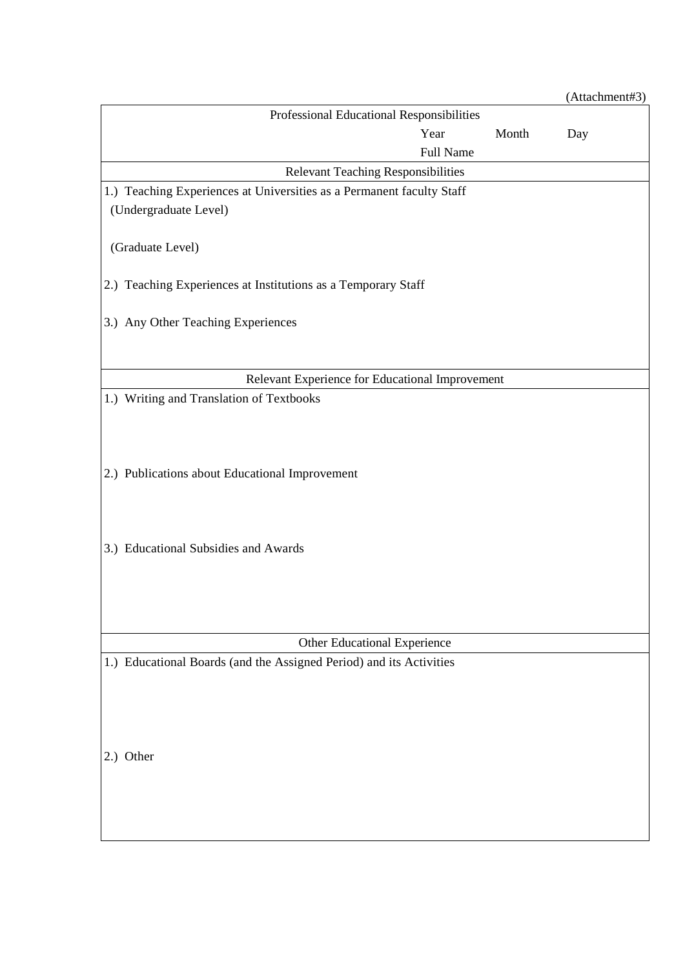|                                                                       |           |       | (Attachment#3) |
|-----------------------------------------------------------------------|-----------|-------|----------------|
| Professional Educational Responsibilities                             |           |       |                |
|                                                                       | Year      | Month | Day            |
|                                                                       | Full Name |       |                |
| <b>Relevant Teaching Responsibilities</b>                             |           |       |                |
| 1.) Teaching Experiences at Universities as a Permanent faculty Staff |           |       |                |
| (Undergraduate Level)                                                 |           |       |                |
|                                                                       |           |       |                |
| (Graduate Level)                                                      |           |       |                |
|                                                                       |           |       |                |
| 2.) Teaching Experiences at Institutions as a Temporary Staff         |           |       |                |
|                                                                       |           |       |                |
| 3.) Any Other Teaching Experiences                                    |           |       |                |
|                                                                       |           |       |                |
|                                                                       |           |       |                |
| Relevant Experience for Educational Improvement                       |           |       |                |
| 1.) Writing and Translation of Textbooks                              |           |       |                |
|                                                                       |           |       |                |
|                                                                       |           |       |                |
|                                                                       |           |       |                |
| 2.) Publications about Educational Improvement                        |           |       |                |
|                                                                       |           |       |                |
|                                                                       |           |       |                |
|                                                                       |           |       |                |
| 3.) Educational Subsidies and Awards                                  |           |       |                |
|                                                                       |           |       |                |
|                                                                       |           |       |                |
|                                                                       |           |       |                |
|                                                                       |           |       |                |
| Other Educational Experience                                          |           |       |                |
| 1.) Educational Boards (and the Assigned Period) and its Activities   |           |       |                |
|                                                                       |           |       |                |
|                                                                       |           |       |                |
|                                                                       |           |       |                |
|                                                                       |           |       |                |
| 2.) Other                                                             |           |       |                |
|                                                                       |           |       |                |
|                                                                       |           |       |                |
|                                                                       |           |       |                |
|                                                                       |           |       |                |
|                                                                       |           |       |                |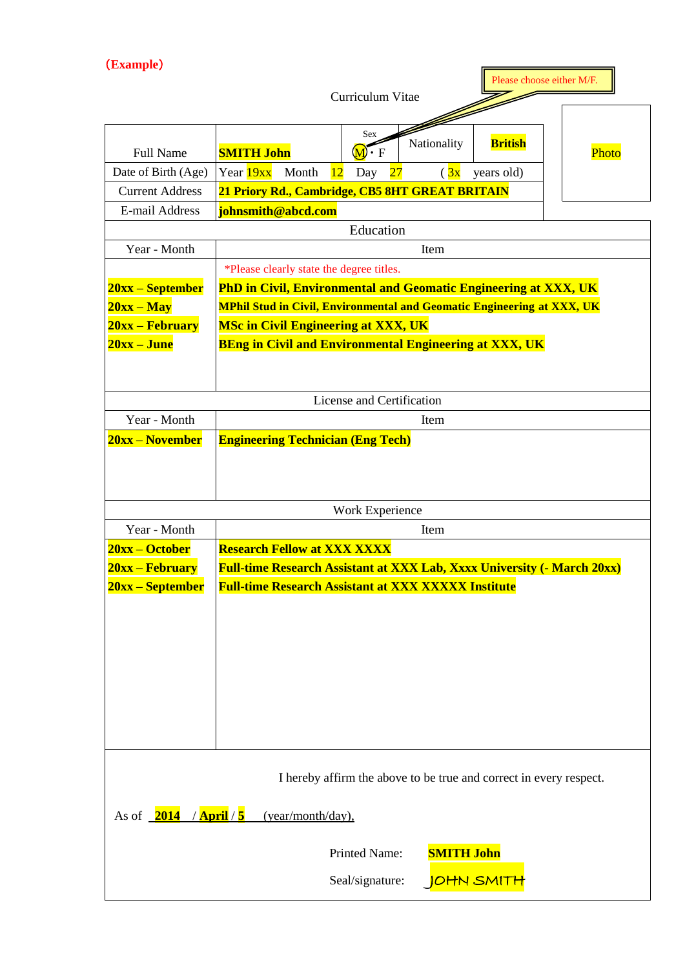(**Example**)

|                                                                                                                                                                                                                       |                                                                                | Curriculum Vitae                              |                |                | Please choose either M/F. |
|-----------------------------------------------------------------------------------------------------------------------------------------------------------------------------------------------------------------------|--------------------------------------------------------------------------------|-----------------------------------------------|----------------|----------------|---------------------------|
| <b>Full Name</b>                                                                                                                                                                                                      | <b>SMITH John</b><br>Year 19xx                                                 | Sex<br>$\overline{\mathbf{M}}\cdot\mathbf{F}$ | Nationality    | <b>British</b> | Photo                     |
| Date of Birth (Age)                                                                                                                                                                                                   | Month                                                                          | 12<br>Day<br>$\overline{27}$                  | $\frac{3x}{3}$ | years old)     |                           |
| <b>Current Address</b>                                                                                                                                                                                                | 21 Priory Rd., Cambridge, CB5 8HT GREAT BRITAIN                                |                                               |                |                |                           |
| E-mail Address                                                                                                                                                                                                        | johnsmith@abcd.com                                                             |                                               |                |                |                           |
|                                                                                                                                                                                                                       |                                                                                | Education                                     |                |                |                           |
| Year - Month                                                                                                                                                                                                          |                                                                                |                                               | Item           |                |                           |
|                                                                                                                                                                                                                       | *Please clearly state the degree titles.                                       |                                               |                |                |                           |
| 20xx – September                                                                                                                                                                                                      | <b>PhD in Civil, Environmental and Geomatic Engineering at XXX, UK</b>         |                                               |                |                |                           |
| $20xx - May$                                                                                                                                                                                                          | <b>MPhil Stud in Civil, Environmental and Geomatic Engineering at XXX, UK</b>  |                                               |                |                |                           |
| 20xx – February                                                                                                                                                                                                       | <b>MSc in Civil Engineering at XXX, UK</b>                                     |                                               |                |                |                           |
| 20xx – June                                                                                                                                                                                                           | <b>BEng in Civil and Environmental Engineering at XXX, UK</b>                  |                                               |                |                |                           |
|                                                                                                                                                                                                                       |                                                                                |                                               |                |                |                           |
|                                                                                                                                                                                                                       |                                                                                |                                               |                |                |                           |
|                                                                                                                                                                                                                       |                                                                                | License and Certification                     |                |                |                           |
| Year - Month                                                                                                                                                                                                          |                                                                                |                                               | Item           |                |                           |
| 20xx – November                                                                                                                                                                                                       | <b>Engineering Technician (Eng Tech)</b>                                       |                                               |                |                |                           |
|                                                                                                                                                                                                                       |                                                                                | Work Experience                               |                |                |                           |
| Year - Month                                                                                                                                                                                                          |                                                                                |                                               | Item           |                |                           |
| $20xx - October$                                                                                                                                                                                                      | <b>Research Fellow at XXX XXXX</b>                                             |                                               |                |                |                           |
| 20xx – February                                                                                                                                                                                                       | <b>Full-time Research Assistant at XXX Lab, Xxxx University (- March 20xx)</b> |                                               |                |                |                           |
| $20xx -$ September                                                                                                                                                                                                    | <b>Full-time Research Assistant at XXX XXXXX Institute</b>                     |                                               |                |                |                           |
| I hereby affirm the above to be true and correct in every respect.<br>As of $\frac{2014}{\text{Area}}$ / April / 5<br>(year/month/day),<br><b>SMITH John</b><br>Printed Name:<br>Seal/signature:<br><u>IOHN SMITH</u> |                                                                                |                                               |                |                |                           |

 $\overline{\mathbf{a}}$ 

F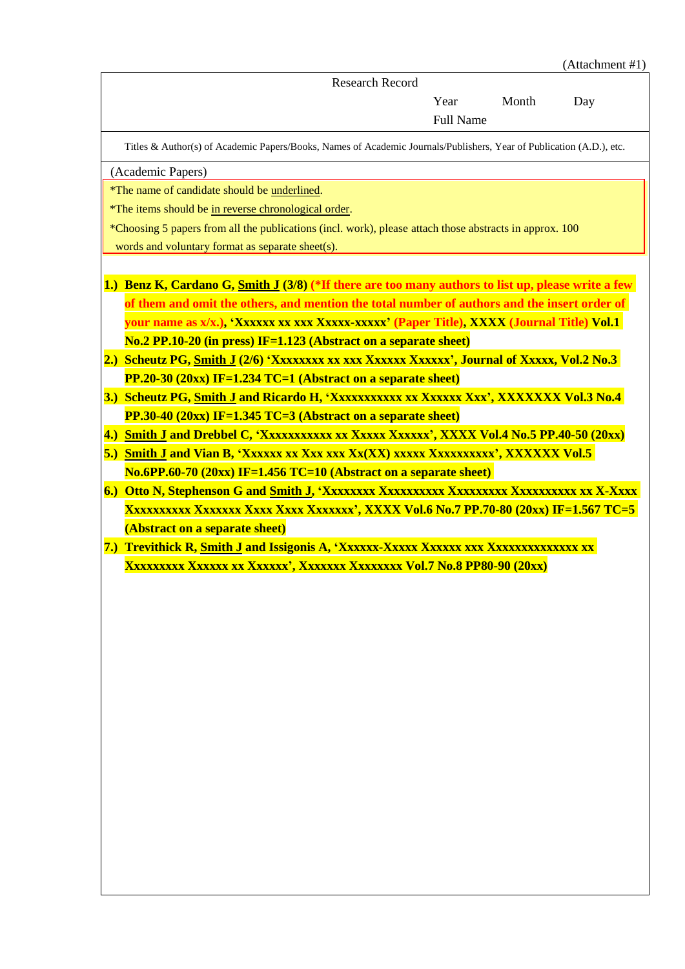|     | (Attachment #1)                                                                                                      |  |  |  |  |
|-----|----------------------------------------------------------------------------------------------------------------------|--|--|--|--|
|     | <b>Research Record</b>                                                                                               |  |  |  |  |
|     | Month<br>Year<br>Day                                                                                                 |  |  |  |  |
|     | <b>Full Name</b>                                                                                                     |  |  |  |  |
|     | Titles & Author(s) of Academic Papers/Books, Names of Academic Journals/Publishers, Year of Publication (A.D.), etc. |  |  |  |  |
|     | (Academic Papers)                                                                                                    |  |  |  |  |
|     | *The name of candidate should be underlined.                                                                         |  |  |  |  |
|     | *The items should be in reverse chronological order.                                                                 |  |  |  |  |
|     | *Choosing 5 papers from all the publications (incl. work), please attach those abstracts in approx. 100              |  |  |  |  |
|     | words and voluntary format as separate sheet(s).                                                                     |  |  |  |  |
|     |                                                                                                                      |  |  |  |  |
|     | 1.) Benz K, Cardano G, Smith J (3/8) (*If there are too many authors to list up, please write a few                  |  |  |  |  |
|     | of them and omit the others, and mention the total number of authors and the insert order of                         |  |  |  |  |
|     | vour name as x/x.), 'Xxxxxx xx xxx Xxxxx-xxxxx' (Paper Title), XXXX (Journal Title) Vol.1                            |  |  |  |  |
|     | No.2 PP.10-20 (in press) IF=1.123 (Abstract on a separate sheet)                                                     |  |  |  |  |
| 2.) | Scheutz PG, Smith J (2/6) 'Xxxxxxxx xx xxx Xxxxxx Xxxxxx', Journal of Xxxxx, Vol.2 No.3                              |  |  |  |  |
|     | $PP.20-30$ (20xx) IF=1.234 TC=1 (Abstract on a separate sheet)                                                       |  |  |  |  |
|     | 3.) Scheutz PG, Smith J and Ricardo H, 'Xxxxxxxxxx xx Xxxxxx Xxx', XXXXXXX Vol.3 No.4                                |  |  |  |  |
|     | $PP.30-40$ (20xx) IF=1.345 TC=3 (Abstract on a separate sheet)                                                       |  |  |  |  |
|     | 4.) Smith J and Drebbel C, 'Xxxxxxxxxx xx Xxxxx Xxxxxx', XXXX Vol.4 No.5 PP.40-50 (20xx)                             |  |  |  |  |
|     | <u>5.) Smith J and Vian B, 'Xxxxxx xx Xxx xxx Xx(XX) xxxxx Xxxxxxxxxx', XXXXXX Vol.5</u>                             |  |  |  |  |
|     | $No.6PP.60-70 (20xx) IF=1.456 TC=10 (Abstract on a separate sheet)$                                                  |  |  |  |  |
| 6.) |                                                                                                                      |  |  |  |  |
|     | Xxxxxxxxx Xxxxxx Xxxx Xxxx Xxxxxxx', XXXX Vol.6 No.7 PP.70-80 (20xx) IF=1.567 TC=5                                   |  |  |  |  |
|     | (Abstract on a separate sheet)                                                                                       |  |  |  |  |
|     |                                                                                                                      |  |  |  |  |
|     | Xxxxxxxx Xxxxxx xx Xxxxxx', Xxxxxxx Xxxxxxxx Vol.7 No.8 PP80-90 (20xx)                                               |  |  |  |  |
|     |                                                                                                                      |  |  |  |  |
|     |                                                                                                                      |  |  |  |  |
|     |                                                                                                                      |  |  |  |  |
|     |                                                                                                                      |  |  |  |  |
|     |                                                                                                                      |  |  |  |  |
|     |                                                                                                                      |  |  |  |  |
|     |                                                                                                                      |  |  |  |  |
|     |                                                                                                                      |  |  |  |  |
|     |                                                                                                                      |  |  |  |  |
|     |                                                                                                                      |  |  |  |  |
|     |                                                                                                                      |  |  |  |  |
|     |                                                                                                                      |  |  |  |  |
|     |                                                                                                                      |  |  |  |  |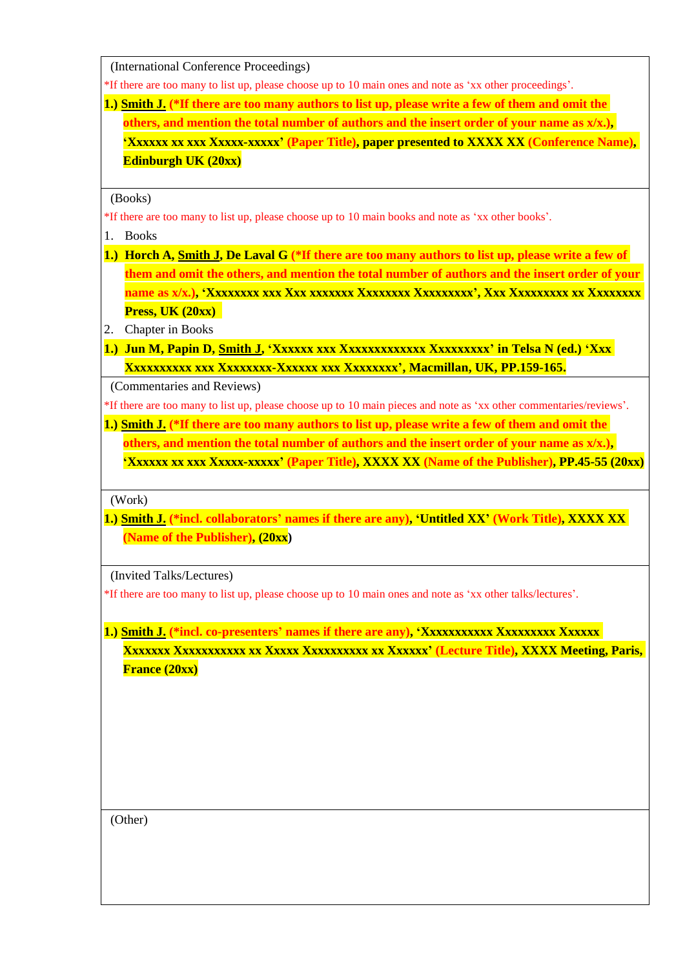(International Conference Proceedings)

\*If there are too many to list up, please choose up to 10 main ones and note as 'xx other proceedings'.

**1.) Smith J. (\*If there are too many authors to list up, please write a few of them and omit the others, and mention the total number of authors and the insert order of your name as x/x.), 'Xxxxxx xx xxx Xxxxx-xxxxx' (Paper Title), paper presented to XXXX XX (Conference Name), Edinburgh UK (20xx)**

(Books)

\*If there are too many to list up, please choose up to 10 main books and note as 'xx other books'.

- 1. Books
- **1.) Horch A, Smith J, De Laval G (\*If there are too many authors to list up, please write a few of them and omit the others, and mention the total number of authors and the insert order of your name as x/x.), 'Xxxxxxxx xxx Xxx xxxxxxx Xxxxxxxx Xxxxxxxxx', Xxx Xxxxxxxxx xx Xxxxxxxx Press, UK (20xx)**
- 2. Chapter in Books
- **1.) Jun M, Papin D, Smith J, 'Xxxxxx xxx Xxxxxxxxxxxxx Xxxxxxxxx' in Telsa N (ed.) 'Xxx Xxxxxxxxxx xxx Xxxxxxxx-Xxxxxx xxx Xxxxxxxx', Macmillan, UK, PP.159-165.**

(Commentaries and Reviews)

\*If there are too many to list up, please choose up to 10 main pieces and note as 'xx other commentaries/reviews'.

**1.) Smith J. (\*If there are too many authors to list up, please write a few of them and omit the others, and mention the total number of authors and the insert order of your name as x/x.), 'Xxxxxx xx xxx Xxxxx-xxxxx' (Paper Title), XXXX XX (Name of the Publisher), PP.45-55 (20xx)**

(Work)

**1.) Smith J. (\*incl. collaborators' names if there are any), 'Untitled XX' (Work Title), XXXX XX (Name of the Publisher), (20xx)**

(Invited Talks/Lectures)

\*If there are too many to list up, please choose up to 10 main ones and note as 'xx other talks/lectures'.

**1.) Smith J. (\*incl. co-presenters' names if there are any), 'Xxxxxxxxxxx Xxxxxxxxx Xxxxxx Xxxxxxx Xxxxxxxxxxx xx Xxxxx Xxxxxxxxxx xx Xxxxxx' (Lecture Title), XXXX Meeting, Paris, France (20xx)**

(Other)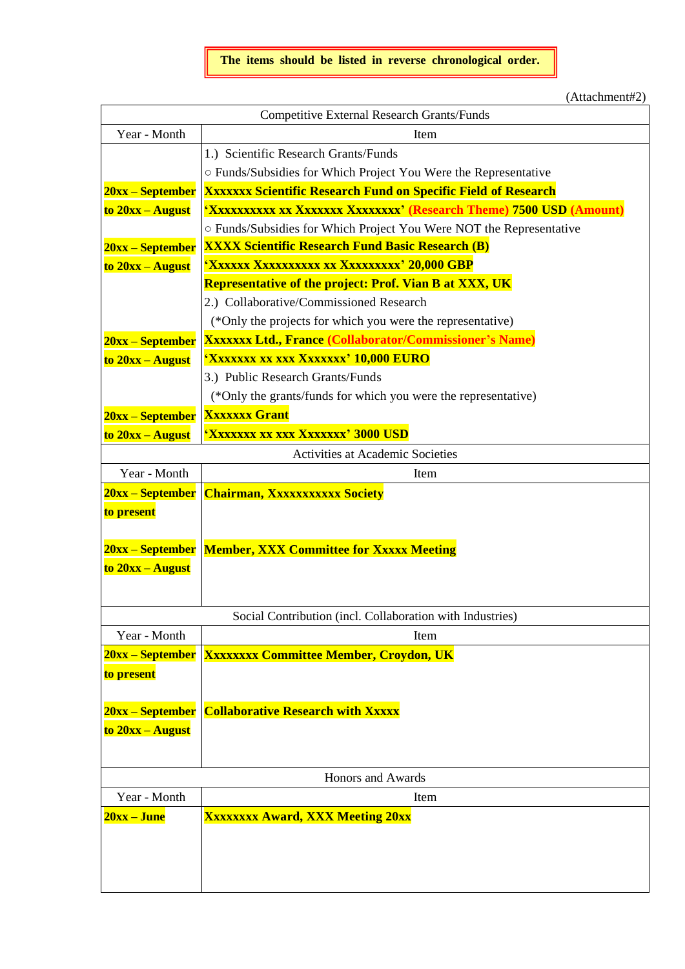(Attachment#2)

| <b>Competitive External Research Grants/Funds</b> |                                                                       |  |  |  |  |
|---------------------------------------------------|-----------------------------------------------------------------------|--|--|--|--|
| Year - Month                                      | Item                                                                  |  |  |  |  |
|                                                   | 1.) Scientific Research Grants/Funds                                  |  |  |  |  |
|                                                   | o Funds/Subsidies for Which Project You Were the Representative       |  |  |  |  |
| 20xx – September                                  | <b>XXXXXXX Scientific Research Fund on Specific Field of Research</b> |  |  |  |  |
| to $20xx - August$                                | 'Xxxxxxxxx xx Xxxxxxx Xxxxxxxx' (Research Theme) 7500 USD (Amount)    |  |  |  |  |
|                                                   | O Funds/Subsidies for Which Project You Were NOT the Representative   |  |  |  |  |
| 20xx – September                                  | <b>XXXX Scientific Research Fund Basic Research (B)</b>               |  |  |  |  |
| to 20xx - August                                  | <u>'Xxxxxx Xxxxxxxxx xx Xxxxxxxxx' 20,000 GBP</u>                     |  |  |  |  |
|                                                   | <b>Representative of the project: Prof. Vian B at XXX, UK</b>         |  |  |  |  |
|                                                   | 2.) Collaborative/Commissioned Research                               |  |  |  |  |
|                                                   | (*Only the projects for which you were the representative)            |  |  |  |  |
| 20xx – September                                  | <b>XXXXXXX Ltd., France (Collaborator/Commissioner's Name)</b>        |  |  |  |  |
| to 20xx - August                                  | 'Xxxxxxx xx xxx Xxxxxxx' 10,000 EURO                                  |  |  |  |  |
|                                                   | 3.) Public Research Grants/Funds                                      |  |  |  |  |
|                                                   | (*Only the grants/funds for which you were the representative)        |  |  |  |  |
| 20xx – September                                  | <b>Xxxxxxx Grant</b>                                                  |  |  |  |  |
| to 20xx - August                                  | 'Xxxxxx xx xxx Xxxxxxx' 3000 USD                                      |  |  |  |  |
|                                                   | Activities at Academic Societies                                      |  |  |  |  |
| Year - Month                                      | Item                                                                  |  |  |  |  |
| 20xx – September   Chairman, Xxxxxxxxxxx Society  |                                                                       |  |  |  |  |
| to present                                        |                                                                       |  |  |  |  |
|                                                   |                                                                       |  |  |  |  |
|                                                   | 20xx – September Member, XXX Committee for Xxxxx Meeting              |  |  |  |  |
| $to 20xx - August$                                |                                                                       |  |  |  |  |
|                                                   |                                                                       |  |  |  |  |
|                                                   | Social Contribution (incl. Collaboration with Industries)             |  |  |  |  |
| Year - Month                                      | Item                                                                  |  |  |  |  |
|                                                   | 20xx – September   Xxxxxxxx Committee Member, Croydon, UK             |  |  |  |  |
| to present                                        |                                                                       |  |  |  |  |
|                                                   |                                                                       |  |  |  |  |
| 20xx – September                                  | <b>Collaborative Research with Xxxxx</b>                              |  |  |  |  |
| to 20xx – August                                  |                                                                       |  |  |  |  |
|                                                   |                                                                       |  |  |  |  |
|                                                   |                                                                       |  |  |  |  |
| Honors and Awards                                 |                                                                       |  |  |  |  |
| Year - Month                                      | Item                                                                  |  |  |  |  |
| 20xx – June                                       | <b>Xxxxxxx Award, XXX Meeting 20xx</b>                                |  |  |  |  |
|                                                   |                                                                       |  |  |  |  |
|                                                   |                                                                       |  |  |  |  |
|                                                   |                                                                       |  |  |  |  |